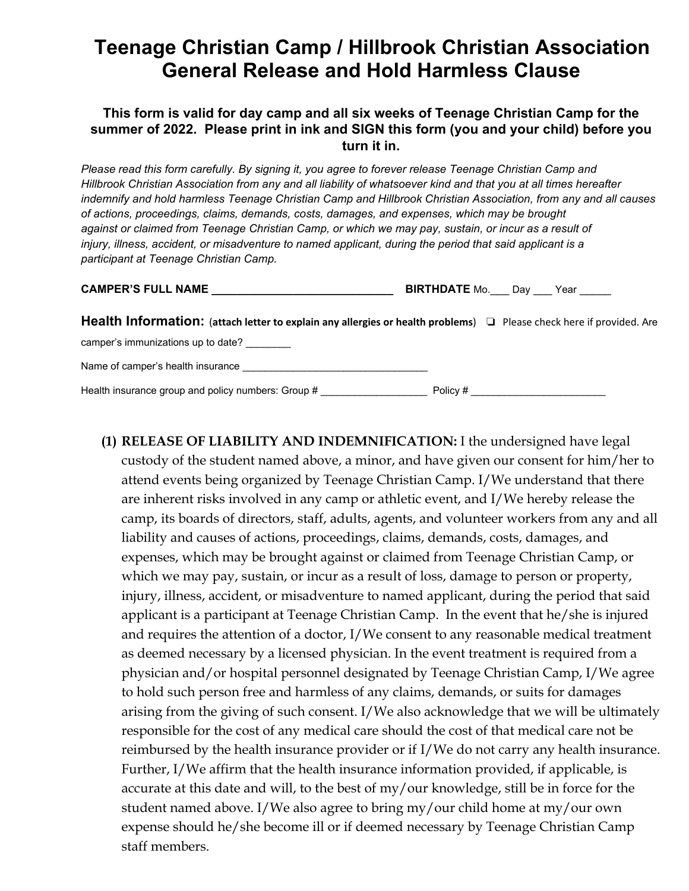## **Teenage Christian Camp / Hillbrook Christian Association General Release and Hold Harmless Clause**

## **This form is valid for day camp and all six weeks of Teenage Christian Camp for the summer of 2022. Please print in ink and SIGN this form (you and your child) before you turn it in.**

*Please read this form carefully. By signing it, you agree to forever release Teenage Christian Camp and Hillbrook Christian Association from any and all liability of whatsoever kind and that you at all times hereafter indemnify and hold harmless Teenage Christian Camp and Hillbrook Christian Association, from any and all causes of actions, proceedings, claims, demands, costs, damages, and expenses, which may be brought against or claimed from Teenage Christian Camp, or which we may pay, sustain, or incur as a result of injury, illness, accident, or misadventure to named applicant, during the period that said applicant is a participant at Teenage Christian Camp.* 

| <b>CAMPER'S FULL NAME</b> | <b>BIRTHDATE Mo.</b> | Dav | Year |
|---------------------------|----------------------|-----|------|
|                           |                      |     |      |

**Health Information:** (**attach letter to explain any allergies or health problems**) ' Please check here if provided. Are camper's immunizations up to date? Name of camper's health insurance

Health insurance group and policy numbers: Group # \_\_\_\_\_\_\_\_\_\_\_\_\_\_\_\_\_\_\_\_\_\_\_\_\_\_\_\_\_ Policy # \_\_\_\_\_\_\_\_\_\_\_\_\_\_\_\_\_\_\_\_

**(1) RELEASE OF LIABILITY AND INDEMNIFICATION:** I the undersigned have legal custody of the student named above, a minor, and have given our consent for him/her to attend events being organized by Teenage Christian Camp. I/We understand that there are inherent risks involved in any camp or athletic event, and I/We hereby release the camp, its boards of directors, staff, adults, agents, and volunteer workers from any and all liability and causes of actions, proceedings, claims, demands, costs, damages, and expenses, which may be brought against or claimed from Teenage Christian Camp, or which we may pay, sustain, or incur as a result of loss, damage to person or property, injury, illness, accident, or misadventure to named applicant, during the period that said applicant is a participant at Teenage Christian Camp. In the event that he/she is injured and requires the attention of a doctor, I/We consent to any reasonable medical treatment as deemed necessary by a licensed physician. In the event treatment is required from a physician and/or hospital personnel designated by Teenage Christian Camp, I/We agree to hold such person free and harmless of any claims, demands, or suits for damages arising from the giving of such consent. I/We also acknowledge that we will be ultimately responsible for the cost of any medical care should the cost of that medical care not be reimbursed by the health insurance provider or if I/We do not carry any health insurance. Further, I/We affirm that the health insurance information provided, if applicable, is accurate at this date and will, to the best of my/our knowledge, still be in force for the student named above. I/We also agree to bring my/our child home at my/our own expense should he/she become ill or if deemed necessary by Teenage Christian Camp staff members.